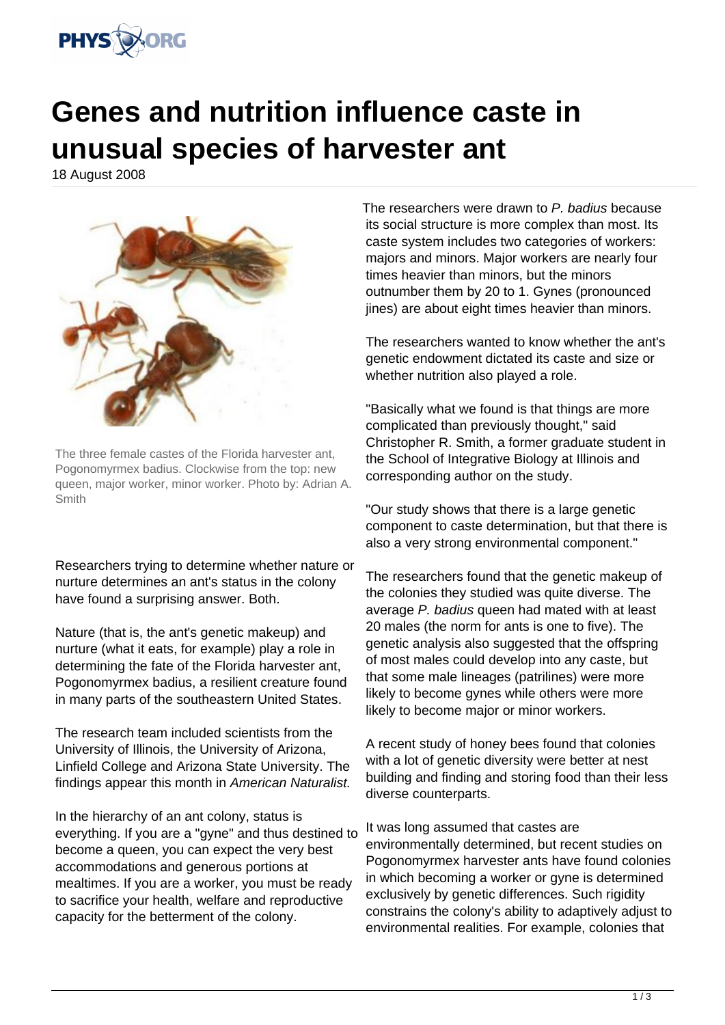

## **Genes and nutrition influence caste in unusual species of harvester ant**

18 August 2008



The three female castes of the Florida harvester ant, Pogonomyrmex badius. Clockwise from the top: new queen, major worker, minor worker. Photo by: Adrian A. Smith

Researchers trying to determine whether nature or nurture determines an ant's status in the colony have found a surprising answer. Both.

Nature (that is, the ant's genetic makeup) and nurture (what it eats, for example) play a role in determining the fate of the Florida harvester ant, Pogonomyrmex badius, a resilient creature found in many parts of the southeastern United States.

The research team included scientists from the University of Illinois, the University of Arizona, Linfield College and Arizona State University. The findings appear this month in American Naturalist.

In the hierarchy of an ant colony, status is everything. If you are a "gyne" and thus destined to become a queen, you can expect the very best accommodations and generous portions at mealtimes. If you are a worker, you must be ready to sacrifice your health, welfare and reproductive capacity for the betterment of the colony.

The researchers were drawn to P. badius because its social structure is more complex than most. Its caste system includes two categories of workers: majors and minors. Major workers are nearly four times heavier than minors, but the minors outnumber them by 20 to 1. Gynes (pronounced jines) are about eight times heavier than minors.

The researchers wanted to know whether the ant's genetic endowment dictated its caste and size or whether nutrition also played a role.

"Basically what we found is that things are more complicated than previously thought," said Christopher R. Smith, a former graduate student in the School of Integrative Biology at Illinois and corresponding author on the study.

"Our study shows that there is a large genetic component to caste determination, but that there is also a very strong environmental component."

The researchers found that the genetic makeup of the colonies they studied was quite diverse. The average P. badius queen had mated with at least 20 males (the norm for ants is one to five). The genetic analysis also suggested that the offspring of most males could develop into any caste, but that some male lineages (patrilines) were more likely to become gynes while others were more likely to become major or minor workers.

A recent study of honey bees found that colonies with a lot of genetic diversity were better at nest building and finding and storing food than their less diverse counterparts.

It was long assumed that castes are environmentally determined, but recent studies on Pogonomyrmex harvester ants have found colonies in which becoming a worker or gyne is determined exclusively by genetic differences. Such rigidity constrains the colony's ability to adaptively adjust to environmental realities. For example, colonies that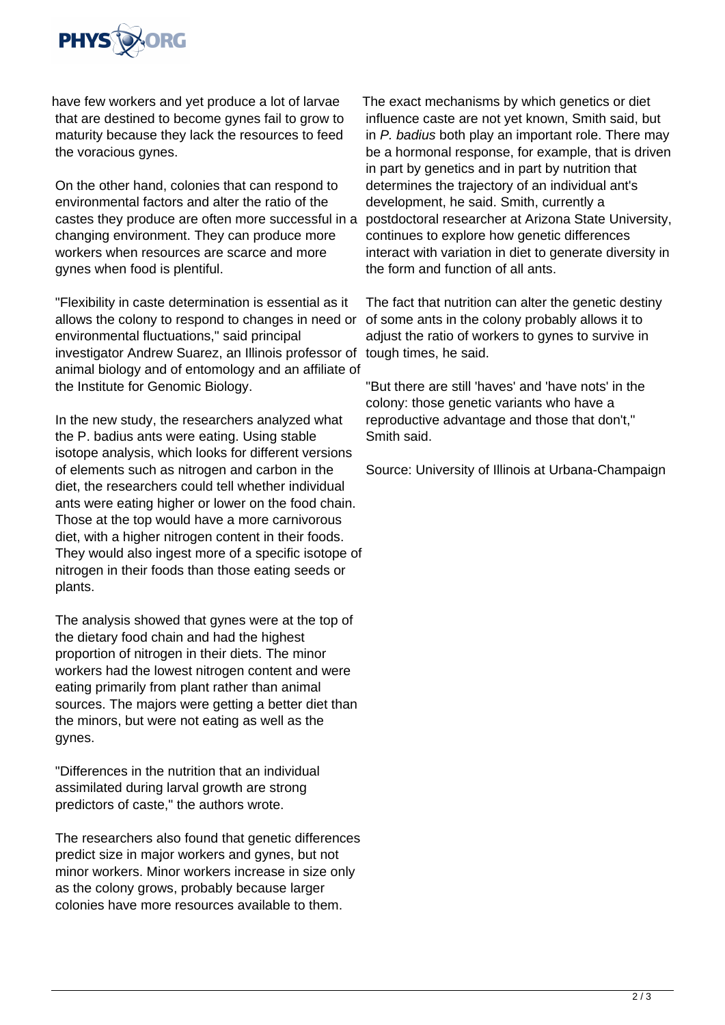

have few workers and yet produce a lot of larvae that are destined to become gynes fail to grow to maturity because they lack the resources to feed the voracious gynes.

On the other hand, colonies that can respond to environmental factors and alter the ratio of the castes they produce are often more successful in a changing environment. They can produce more workers when resources are scarce and more gynes when food is plentiful.

"Flexibility in caste determination is essential as it allows the colony to respond to changes in need or of some ants in the colony probably allows it to environmental fluctuations," said principal investigator Andrew Suarez, an Illinois professor of animal biology and of entomology and an affiliate of the Institute for Genomic Biology.

In the new study, the researchers analyzed what the P. badius ants were eating. Using stable isotope analysis, which looks for different versions of elements such as nitrogen and carbon in the diet, the researchers could tell whether individual ants were eating higher or lower on the food chain. Those at the top would have a more carnivorous diet, with a higher nitrogen content in their foods. They would also ingest more of a specific isotope of nitrogen in their foods than those eating seeds or plants.

The analysis showed that gynes were at the top of the dietary food chain and had the highest proportion of nitrogen in their diets. The minor workers had the lowest nitrogen content and were eating primarily from plant rather than animal sources. The majors were getting a better diet than the minors, but were not eating as well as the gynes.

"Differences in the nutrition that an individual assimilated during larval growth are strong predictors of caste," the authors wrote.

The researchers also found that genetic differences predict size in major workers and gynes, but not minor workers. Minor workers increase in size only as the colony grows, probably because larger colonies have more resources available to them.

The exact mechanisms by which genetics or diet influence caste are not yet known, Smith said, but in P. badius both play an important role. There may be a hormonal response, for example, that is driven in part by genetics and in part by nutrition that determines the trajectory of an individual ant's development, he said. Smith, currently a postdoctoral researcher at Arizona State University, continues to explore how genetic differences interact with variation in diet to generate diversity in the form and function of all ants.

The fact that nutrition can alter the genetic destiny adjust the ratio of workers to gynes to survive in tough times, he said.

"But there are still 'haves' and 'have nots' in the colony: those genetic variants who have a reproductive advantage and those that don't," Smith said.

Source: University of Illinois at Urbana-Champaign